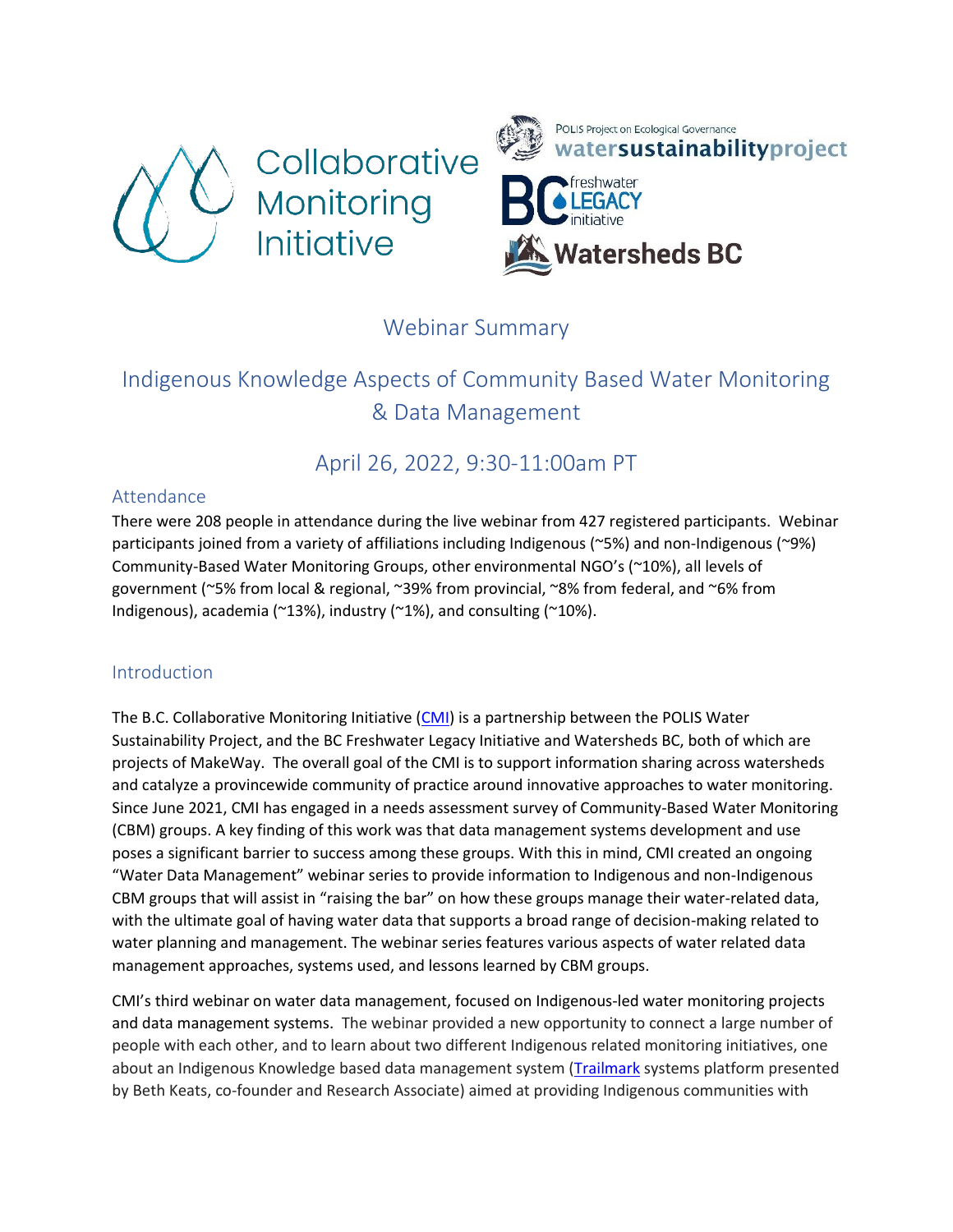



# Webinar Summary

# Indigenous Knowledge Aspects of Community Based Water Monitoring & Data Management

# April 26, 2022, 9:30-11:00am PT

#### Attendance

There were 208 people in attendance during the live webinar from 427 registered participants. Webinar participants joined from a variety of affiliations including Indigenous (~5%) and non-Indigenous (~9%) Community-Based Water Monitoring Groups, other environmental NGO's (~10%), all levels of government (~5% from local & regional, ~39% from provincial, ~8% from federal, and ~6% from Indigenous), academia (~13%), industry (~1%), and consulting (~10%).

## **Introduction**

The B.C. Collaborative Monitoring Initiative  $(CMI)$  is a partnership between the POLIS Water Sustainability Project, and the BC Freshwater Legacy Initiative and Watersheds BC, both of which are projects of MakeWay. The overall goal of the CMI is to support information sharing across watersheds and catalyze a provincewide community of practice around innovative approaches to water monitoring. Since June 2021, CMI has engaged in a needs assessment survey of Community-Based Water Monitoring (CBM) groups. A key finding of this work was that data management systems development and use poses a significant barrier to success among these groups. With this in mind, CMI created an ongoing "Water Data Management" webinar series to provide information to Indigenous and non-Indigenous CBM groups that will assist in "raising the bar" on how these groups manage their water-related data, with the ultimate goal of having water data that supports a broad range of decision-making related to water planning and management. The webinar series features various aspects of water related data management approaches, systems used, and lessons learned by CBM groups.

CMI's third webinar on water data management, focused on Indigenous-led water monitoring projects and data management systems. The webinar provided a new opportunity to connect a large number of people with each other, and to learn about two different Indigenous related monitoring initiatives, one about an Indigenous Knowledge based data management system [\(Trailmark](https://www.trailmarksys.com/) systems platform presented by Beth Keats, co-founder and Research Associate) aimed at providing Indigenous communities with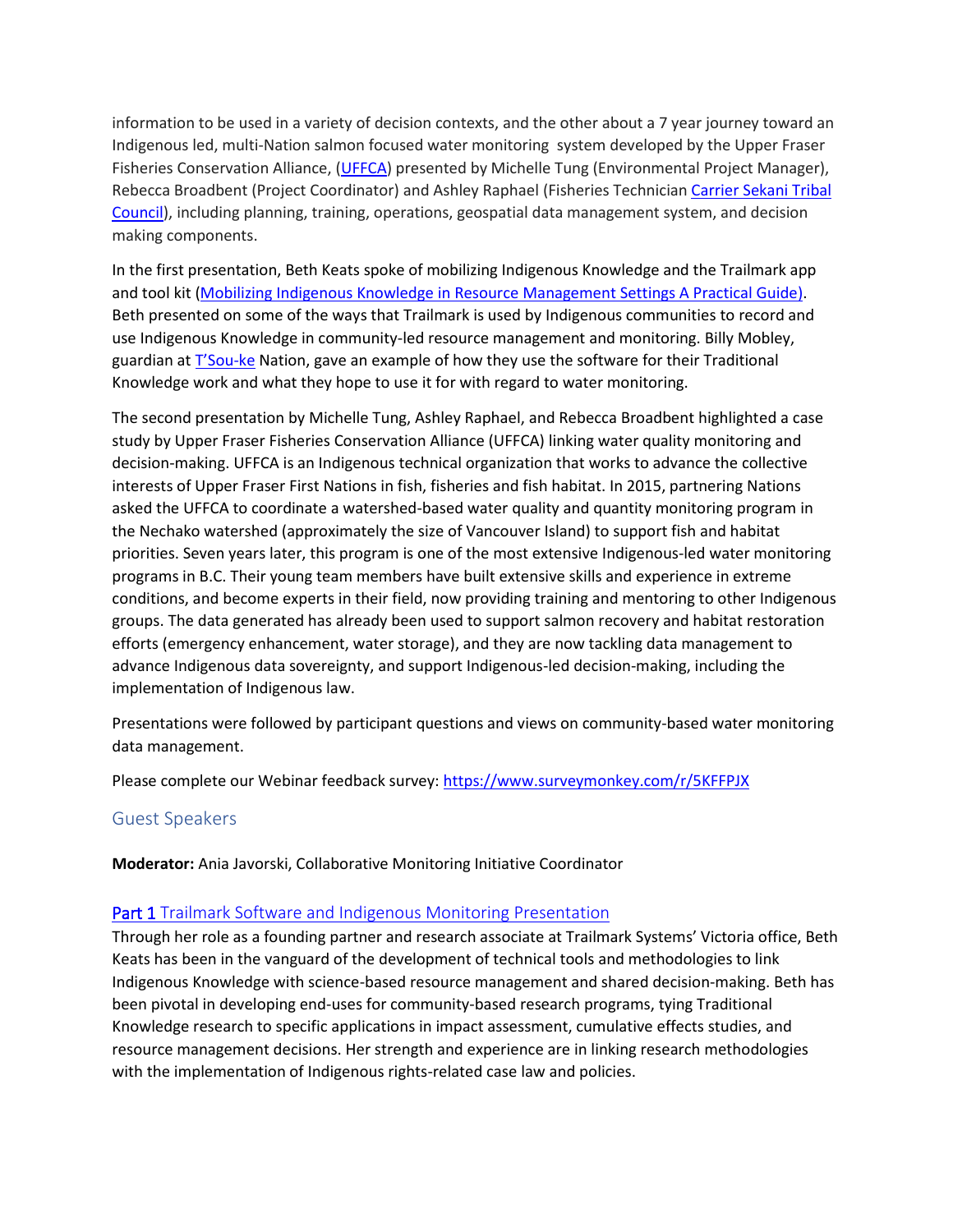information to be used in a variety of decision contexts, and the other about a 7 year journey toward an Indigenous led, multi-Nation salmon focused water monitoring system developed by the Upper Fraser Fisheries Conservation Alliance, [\(UFFCA\)](https://upperfraser.ca/) presented by Michelle Tung (Environmental Project Manager), Rebecca Broadbent (Project Coordinator) and Ashley Raphael (Fisheries Technician [Carrier Sekani Tribal](https://carriersekani.ca/)  [Council\)](https://carriersekani.ca/), including planning, training, operations, geospatial data management system, and decision making components.

In the first presentation, Beth Keats spoke of mobilizing Indigenous Knowledge and the Trailmark app and tool kit [\(Mobilizing Indigenous Knowledge in Resource Management Settings A Practical Guide\)](https://cbmtoolkit.trailmarksys.com/one-page/). Beth presented on some of the ways that Trailmark is used by Indigenous communities to record and use Indigenous Knowledge in community-led resource management and monitoring. Billy Mobley, guardian at [T'Sou](https://www.tsoukenation.com/)-ke Nation, gave an example of how they use the software for their Traditional Knowledge work and what they hope to use it for with regard to water monitoring.

The second presentation by Michelle Tung, Ashley Raphael, and Rebecca Broadbent highlighted a case study by Upper Fraser Fisheries Conservation Alliance (UFFCA) linking water quality monitoring and decision-making. UFFCA is an Indigenous technical organization that works to advance the collective interests of Upper Fraser First Nations in fish, fisheries and fish habitat. In 2015, partnering Nations asked the UFFCA to coordinate a watershed-based water quality and quantity monitoring program in the Nechako watershed (approximately the size of Vancouver Island) to support fish and habitat priorities. Seven years later, this program is one of the most extensive Indigenous-led water monitoring programs in B.C. Their young team members have built extensive skills and experience in extreme conditions, and become experts in their field, now providing training and mentoring to other Indigenous groups. The data generated has already been used to support salmon recovery and habitat restoration efforts (emergency enhancement, water storage), and they are now tackling data management to advance Indigenous data sovereignty, and support Indigenous-led decision-making, including the implementation of Indigenous law.

Presentations were followed by participant questions and views on community-based water monitoring data management.

Please complete our Webinar feedback survey: <https://www.surveymonkey.com/r/5KFFPJX>

## Guest Speakers

**Moderator:** Ania Javorski, Collaborative Monitoring Initiative Coordinator

#### **[Part 1 Trailmark Software and Indigenous Monitoring Presentation](https://sparkjoy.org/polis/files/2022/05/Trailmark-Software-and-Indigenous-Monitoring-Presentation-for-CMI-Webinar-April-26-2022.pdf)**

Through her role as a founding partner and research associate at Trailmark Systems' Victoria office, Beth Keats has been in the vanguard of the development of technical tools and methodologies to link Indigenous Knowledge with science-based resource management and shared decision-making. Beth has been pivotal in developing end-uses for community-based research programs, tying Traditional Knowledge research to specific applications in impact assessment, cumulative effects studies, and resource management decisions. Her strength and experience are in linking research methodologies with the implementation of Indigenous rights-related case law and policies.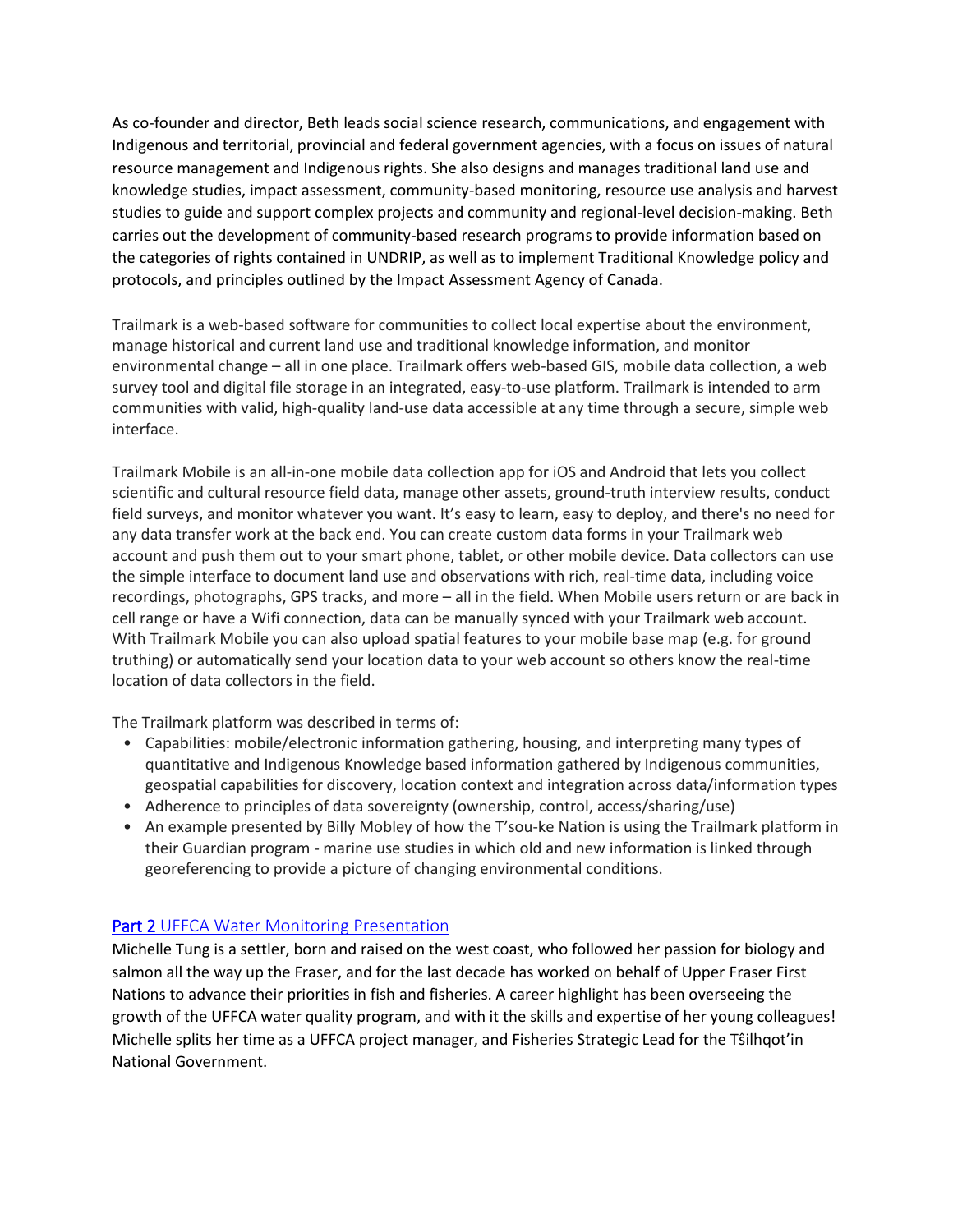As co-founder and director, Beth leads social science research, communications, and engagement with Indigenous and territorial, provincial and federal government agencies, with a focus on issues of natural resource management and Indigenous rights. She also designs and manages traditional land use and knowledge studies, impact assessment, community-based monitoring, resource use analysis and harvest studies to guide and support complex projects and community and regional-level decision-making. Beth carries out the development of community-based research programs to provide information based on the categories of rights contained in UNDRIP, as well as to implement Traditional Knowledge policy and protocols, and principles outlined by the Impact Assessment Agency of Canada.

Trailmark is a web-based software for communities to collect local expertise about the environment, manage historical and current land use and traditional knowledge information, and monitor environmental change – all in one place. Trailmark offers web-based GIS, mobile data collection, a web survey tool and digital file storage in an integrated, easy-to-use platform. Trailmark is intended to arm communities with valid, high-quality land-use data accessible at any time through a secure, simple web interface.

Trailmark Mobile is an all-in-one mobile data collection app for iOS and Android that lets you collect scientific and cultural resource field data, manage other assets, ground-truth interview results, conduct field surveys, and monitor whatever you want. It's easy to learn, easy to deploy, and there's no need for any data transfer work at the back end. You can create custom data forms in your Trailmark web account and push them out to your smart phone, tablet, or other mobile device. Data collectors can use the simple interface to document land use and observations with rich, real-time data, including voice recordings, photographs, GPS tracks, and more – all in the field. When Mobile users return or are back in cell range or have a Wifi connection, data can be manually synced with your Trailmark web account. With Trailmark Mobile you can also upload spatial features to your mobile base map (e.g. for ground truthing) or automatically send your location data to your web account so others know the real-time location of data collectors in the field.

The Trailmark platform was described in terms of:

- Capabilities: mobile/electronic information gathering, housing, and interpreting many types of quantitative and Indigenous Knowledge based information gathered by Indigenous communities, geospatial capabilities for discovery, location context and integration across data/information types
- Adherence to principles of data sovereignty (ownership, control, access/sharing/use)
- An example presented by Billy Mobley of how the T'sou-ke Nation is using the Trailmark platform in their Guardian program - marine use studies in which old and new information is linked through georeferencing to provide a picture of changing environmental conditions.

#### **[Part 2 UFFCA Water Monitoring Presentation](https://sparkjoy.org/polis/files/2022/05/UFFCA-Water-monitoring_CMI-webinar_Apr2022_final.pdf)**

Michelle Tung is a settler, born and raised on the west coast, who followed her passion for biology and salmon all the way up the Fraser, and for the last decade has worked on behalf of Upper Fraser First Nations to advance their priorities in fish and fisheries. A career highlight has been overseeing the growth of the UFFCA water quality program, and with it the skills and expertise of her young colleagues! Michelle splits her time as a UFFCA project manager, and Fisheries Strategic Lead for the Tŝilhqot'in National Government.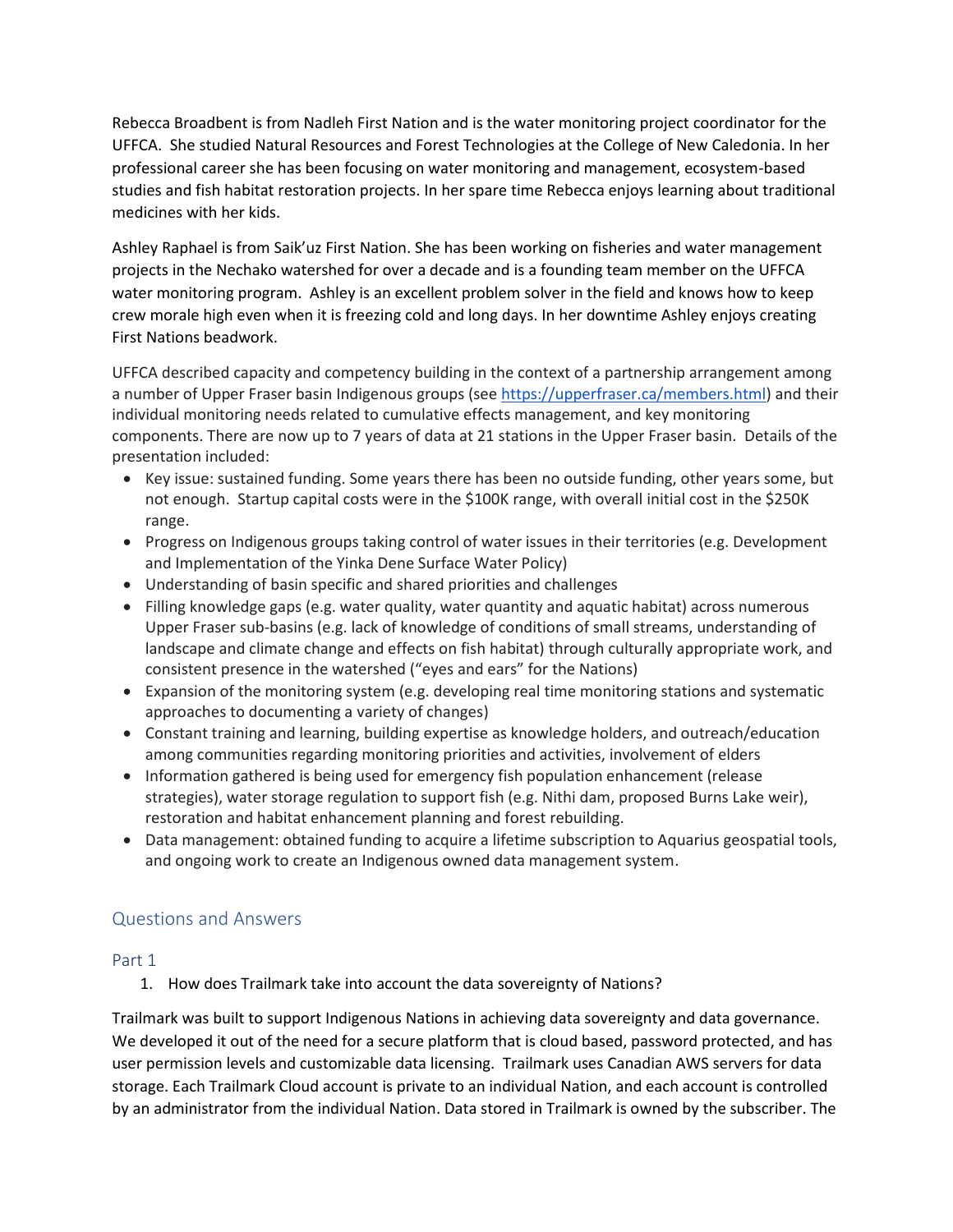Rebecca Broadbent is from Nadleh First Nation and is the water monitoring project coordinator for the UFFCA. She studied Natural Resources and Forest Technologies at the College of New Caledonia. In her professional career she has been focusing on water monitoring and management, ecosystem-based studies and fish habitat restoration projects. In her spare time Rebecca enjoys learning about traditional medicines with her kids.

Ashley Raphael is from Saik'uz First Nation. She has been working on fisheries and water management projects in the Nechako watershed for over a decade and is a founding team member on the UFFCA water monitoring program. Ashley is an excellent problem solver in the field and knows how to keep crew morale high even when it is freezing cold and long days. In her downtime Ashley enjoys creating First Nations beadwork.

UFFCA described capacity and competency building in the context of a partnership arrangement among a number of Upper Fraser basin Indigenous groups (see [https://upperfraser.ca/members.html\)](https://upperfraser.ca/members.html) and their individual monitoring needs related to cumulative effects management, and key monitoring components. There are now up to 7 years of data at 21 stations in the Upper Fraser basin. Details of the presentation included:

- Key issue: sustained funding. Some years there has been no outside funding, other years some, but not enough. Startup capital costs were in the \$100K range, with overall initial cost in the \$250K range.
- Progress on Indigenous groups taking control of water issues in their territories (e.g. Development and Implementation of the Yinka Dene Surface Water Policy)
- Understanding of basin specific and shared priorities and challenges
- Filling knowledge gaps (e.g. water quality, water quantity and aquatic habitat) across numerous Upper Fraser sub-basins (e.g. lack of knowledge of conditions of small streams, understanding of landscape and climate change and effects on fish habitat) through culturally appropriate work, and consistent presence in the watershed ("eyes and ears" for the Nations)
- Expansion of the monitoring system (e.g. developing real time monitoring stations and systematic approaches to documenting a variety of changes)
- Constant training and learning, building expertise as knowledge holders, and outreach/education among communities regarding monitoring priorities and activities, involvement of elders
- Information gathered is being used for emergency fish population enhancement (release strategies), water storage regulation to support fish (e.g. Nithi dam, proposed Burns Lake weir), restoration and habitat enhancement planning and forest rebuilding.
- Data management: obtained funding to acquire a lifetime subscription to Aquarius geospatial tools, and ongoing work to create an Indigenous owned data management system.

## Questions and Answers

#### Part 1

1. How does Trailmark take into account the data sovereignty of Nations?

Trailmark was built to support Indigenous Nations in achieving data sovereignty and data governance. We developed it out of the need for a secure platform that is cloud based, password protected, and has user permission levels and customizable data licensing. Trailmark uses Canadian AWS servers for data storage. Each Trailmark Cloud account is private to an individual Nation, and each account is controlled by an administrator from the individual Nation. Data stored in Trailmark is owned by the subscriber. The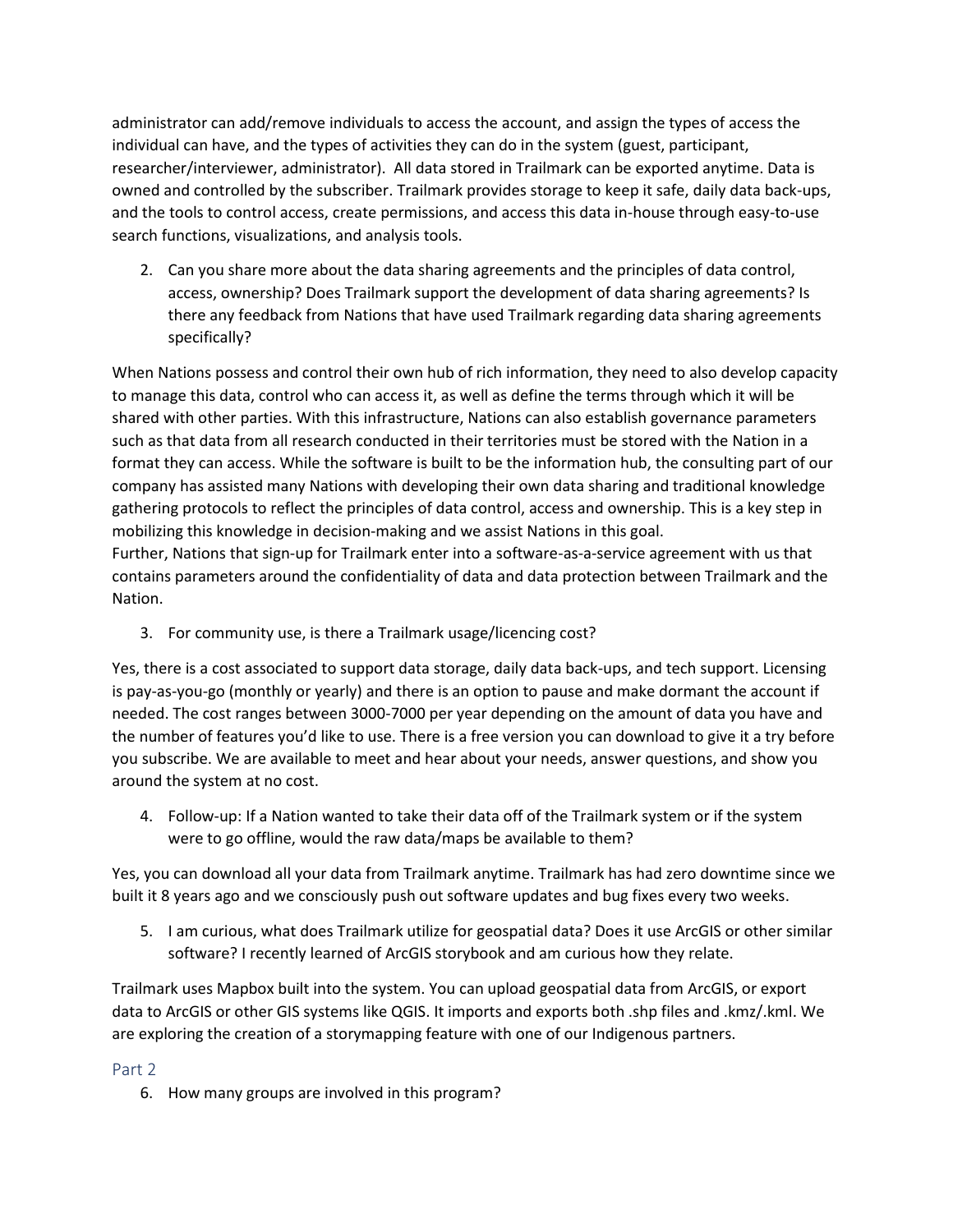administrator can add/remove individuals to access the account, and assign the types of access the individual can have, and the types of activities they can do in the system (guest, participant, researcher/interviewer, administrator). All data stored in Trailmark can be exported anytime. Data is owned and controlled by the subscriber. Trailmark provides storage to keep it safe, daily data back-ups, and the tools to control access, create permissions, and access this data in-house through easy-to-use search functions, visualizations, and analysis tools.

2. Can you share more about the data sharing agreements and the principles of data control, access, ownership? Does Trailmark support the development of data sharing agreements? Is there any feedback from Nations that have used Trailmark regarding data sharing agreements specifically?

When Nations possess and control their own hub of rich information, they need to also develop capacity to manage this data, control who can access it, as well as define the terms through which it will be shared with other parties. With this infrastructure, Nations can also establish governance parameters such as that data from all research conducted in their territories must be stored with the Nation in a format they can access. While the software is built to be the information hub, the consulting part of our company has assisted many Nations with developing their own data sharing and traditional knowledge gathering protocols to reflect the principles of data control, access and ownership. This is a key step in mobilizing this knowledge in decision-making and we assist Nations in this goal.

Further, Nations that sign-up for Trailmark enter into a software-as-a-service agreement with us that contains parameters around the confidentiality of data and data protection between Trailmark and the Nation.

3. For community use, is there a Trailmark usage/licencing cost?

Yes, there is a cost associated to support data storage, daily data back-ups, and tech support. Licensing is pay-as-you-go (monthly or yearly) and there is an option to pause and make dormant the account if needed. The cost ranges between 3000-7000 per year depending on the amount of data you have and the number of features you'd like to use. There is a free version you can download to give it a try before you subscribe. We are available to meet and hear about your needs, answer questions, and show you around the system at no cost.

4. Follow-up: If a Nation wanted to take their data off of the Trailmark system or if the system were to go offline, would the raw data/maps be available to them?

Yes, you can download all your data from Trailmark anytime. Trailmark has had zero downtime since we built it 8 years ago and we consciously push out software updates and bug fixes every two weeks.

5. I am curious, what does Trailmark utilize for geospatial data? Does it use ArcGIS or other similar software? I recently learned of ArcGIS storybook and am curious how they relate.

Trailmark uses Mapbox built into the system. You can upload geospatial data from ArcGIS, or export data to ArcGIS or other GIS systems like QGIS. It imports and exports both .shp files and .kmz/.kml. We are exploring the creation of a storymapping feature with one of our Indigenous partners.

## Part 2

6. How many groups are involved in this program?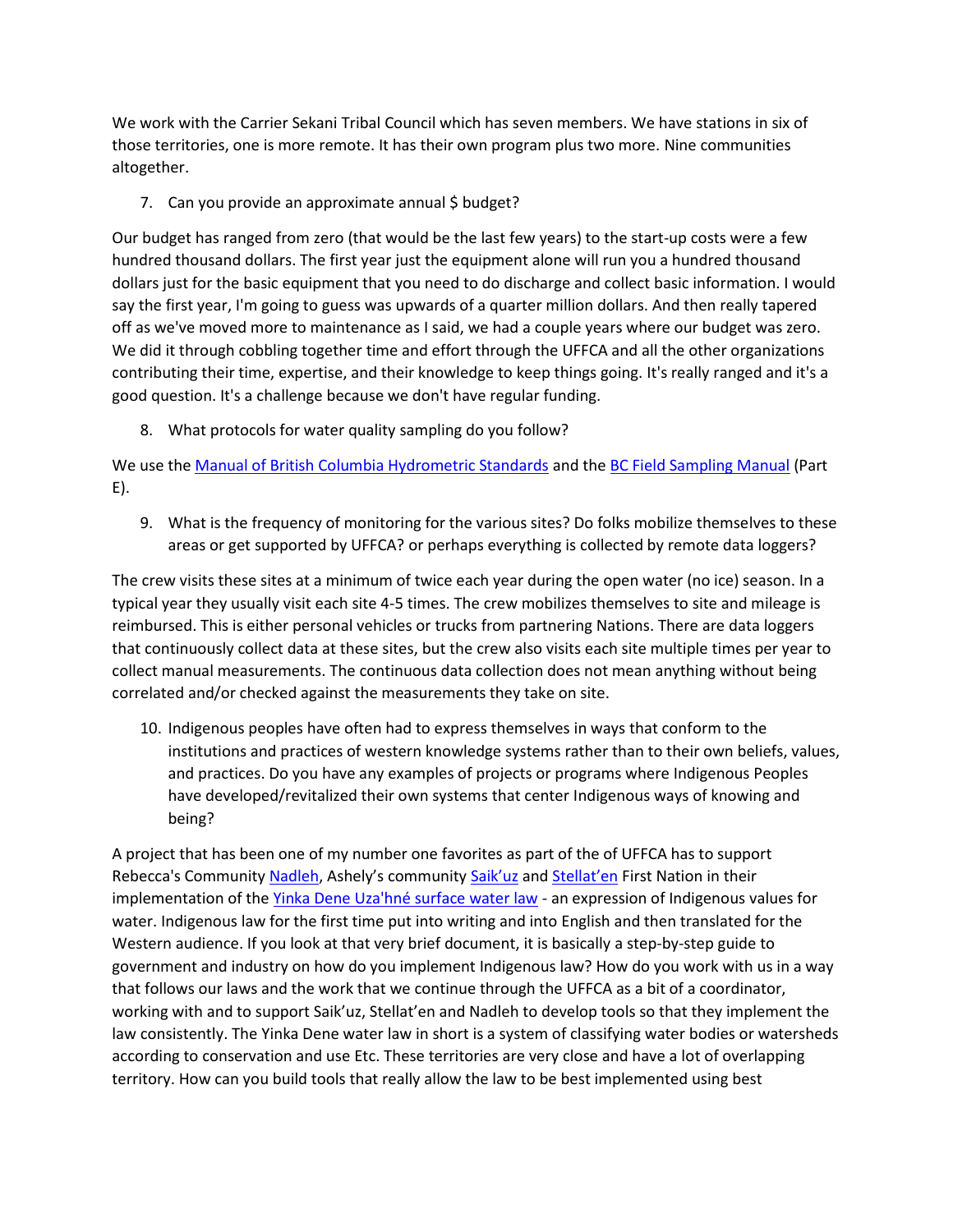We work with the Carrier Sekani Tribal Council which has seven members. We have stations in six of those territories, one is more remote. It has their own program plus two more. Nine communities altogether.

7. Can you provide an approximate annual \$ budget?

Our budget has ranged from zero (that would be the last few years) to the start-up costs were a few hundred thousand dollars. The first year just the equipment alone will run you a hundred thousand dollars just for the basic equipment that you need to do discharge and collect basic information. I would say the first year, I'm going to guess was upwards of a quarter million dollars. And then really tapered off as we've moved more to maintenance as I said, we had a couple years where our budget was zero. We did it through cobbling together time and effort through the UFFCA and all the other organizations contributing their time, expertise, and their knowledge to keep things going. It's really ranged and it's a good question. It's a challenge because we don't have regular funding.

8. What protocols for water quality sampling do you follow?

We use the [Manual of British Columbia Hydrometric Standards](https://www2.gov.bc.ca/assets/gov/environment/natural-resource-stewardship/nr-laws-policy/risc/man_bc_hydrometric_stand_v2.pdf) and the [BC Field Sampling Manual](https://a100.gov.bc.ca/pub/eirs/finishDownloadDocument.do;jsessionid=867E2132152327EDBF5F75B014CE48B8?subdocumentId=1629) (Part E).

9. What is the frequency of monitoring for the various sites? Do folks mobilize themselves to these areas or get supported by UFFCA? or perhaps everything is collected by remote data loggers?

The crew visits these sites at a minimum of twice each year during the open water (no ice) season. In a typical year they usually visit each site 4-5 times. The crew mobilizes themselves to site and mileage is reimbursed. This is either personal vehicles or trucks from partnering Nations. There are data loggers that continuously collect data at these sites, but the crew also visits each site multiple times per year to collect manual measurements. The continuous data collection does not mean anything without being correlated and/or checked against the measurements they take on site.

10. Indigenous peoples have often had to express themselves in ways that conform to the institutions and practices of western knowledge systems rather than to their own beliefs, values, and practices. Do you have any examples of projects or programs where Indigenous Peoples have developed/revitalized their own systems that center Indigenous ways of knowing and being?

A project that has been one of my number one favorites as part of the of UFFCA has to support Rebecca's Community [Nadleh](https://www.nadleh.com/), Ashely's community [Saik'uz](https://www.saikuz.com/) and [Stellat'en](https://www.stellaten.ca/) First Nation in their implementation of th[e Yinka Dene Uza'hné surface water law](http://darac.sg-host.com/wp-content/uploads/Yinka-Dene-Uzahne-Surface-Water-Management-Policy-March-18-2016-00303183xC6E53.pdf) - an expression of Indigenous values for water. Indigenous law for the first time put into writing and into English and then translated for the Western audience. If you look at that very brief document, it is basically a step-by-step guide to government and industry on how do you implement Indigenous law? How do you work with us in a way that follows our laws and the work that we continue through the UFFCA as a bit of a coordinator, working with and to support Saik'uz, Stellat'en and Nadleh to develop tools so that they implement the law consistently. The Yinka Dene water law in short is a system of classifying water bodies or watersheds according to conservation and use Etc. These territories are very close and have a lot of overlapping territory. How can you build tools that really allow the law to be best implemented using best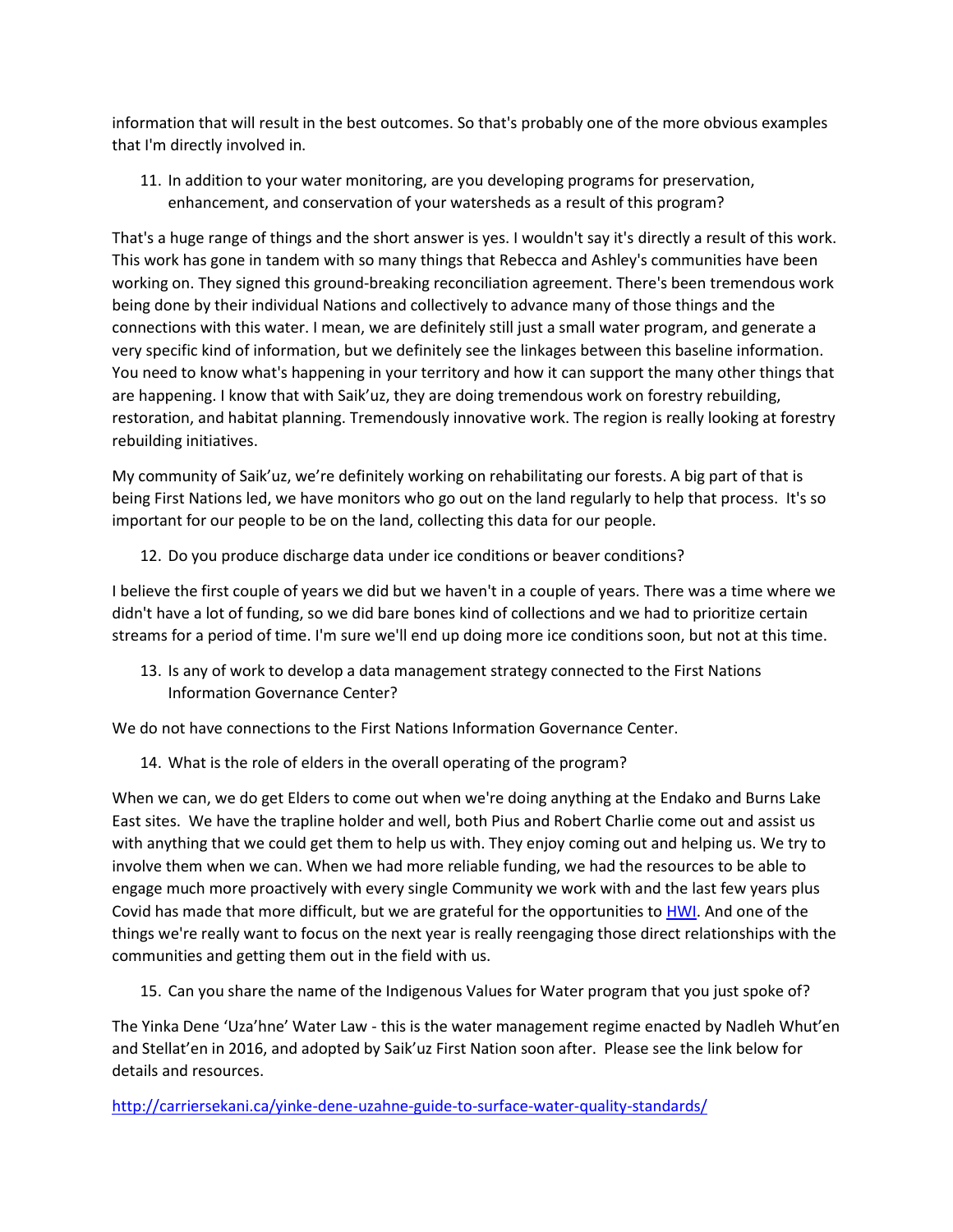information that will result in the best outcomes. So that's probably one of the more obvious examples that I'm directly involved in.

11. In addition to your water monitoring, are you developing programs for preservation, enhancement, and conservation of your watersheds as a result of this program?

That's a huge range of things and the short answer is yes. I wouldn't say it's directly a result of this work. This work has gone in tandem with so many things that Rebecca and Ashley's communities have been working on. They signed this ground-breaking reconciliation agreement. There's been tremendous work being done by their individual Nations and collectively to advance many of those things and the connections with this water. I mean, we are definitely still just a small water program, and generate a very specific kind of information, but we definitely see the linkages between this baseline information. You need to know what's happening in your territory and how it can support the many other things that are happening. I know that with Saik'uz, they are doing tremendous work on forestry rebuilding, restoration, and habitat planning. Tremendously innovative work. The region is really looking at forestry rebuilding initiatives.

My community of Saik'uz, we're definitely working on rehabilitating our forests. A big part of that is being First Nations led, we have monitors who go out on the land regularly to help that process. It's so important for our people to be on the land, collecting this data for our people.

12. Do you produce discharge data under ice conditions or beaver conditions?

I believe the first couple of years we did but we haven't in a couple of years. There was a time where we didn't have a lot of funding, so we did bare bones kind of collections and we had to prioritize certain streams for a period of time. I'm sure we'll end up doing more ice conditions soon, but not at this time.

13. Is any of work to develop a data management strategy connected to the First Nations Information Governance Center?

We do not have connections to the First Nations Information Governance Center.

14. What is the role of elders in the overall operating of the program?

When we can, we do get Elders to come out when we're doing anything at the Endako and Burns Lake East sites. We have the trapline holder and well, both Pius and Robert Charlie come out and assist us with anything that we could get them to help us with. They enjoy coming out and helping us. We try to involve them when we can. When we had more reliable funding, we had the resources to be able to engage much more proactively with every single Community we work with and the last few years plus Covid has made that more difficult, but we are grateful for the opportunities to [HWI.](https://healthywatersheds.ca/) And one of the things we're really want to focus on the next year is really reengaging those direct relationships with the communities and getting them out in the field with us.

15. Can you share the name of the Indigenous Values for Water program that you just spoke of?

The Yinka Dene 'Uza'hne' Water Law - this is the water management regime enacted by Nadleh Whut'en and Stellat'en in 2016, and adopted by Saik'uz First Nation soon after. Please see the link below for details and resources.

<http://carriersekani.ca/yinke-dene-uzahne-guide-to-surface-water-quality-standards/>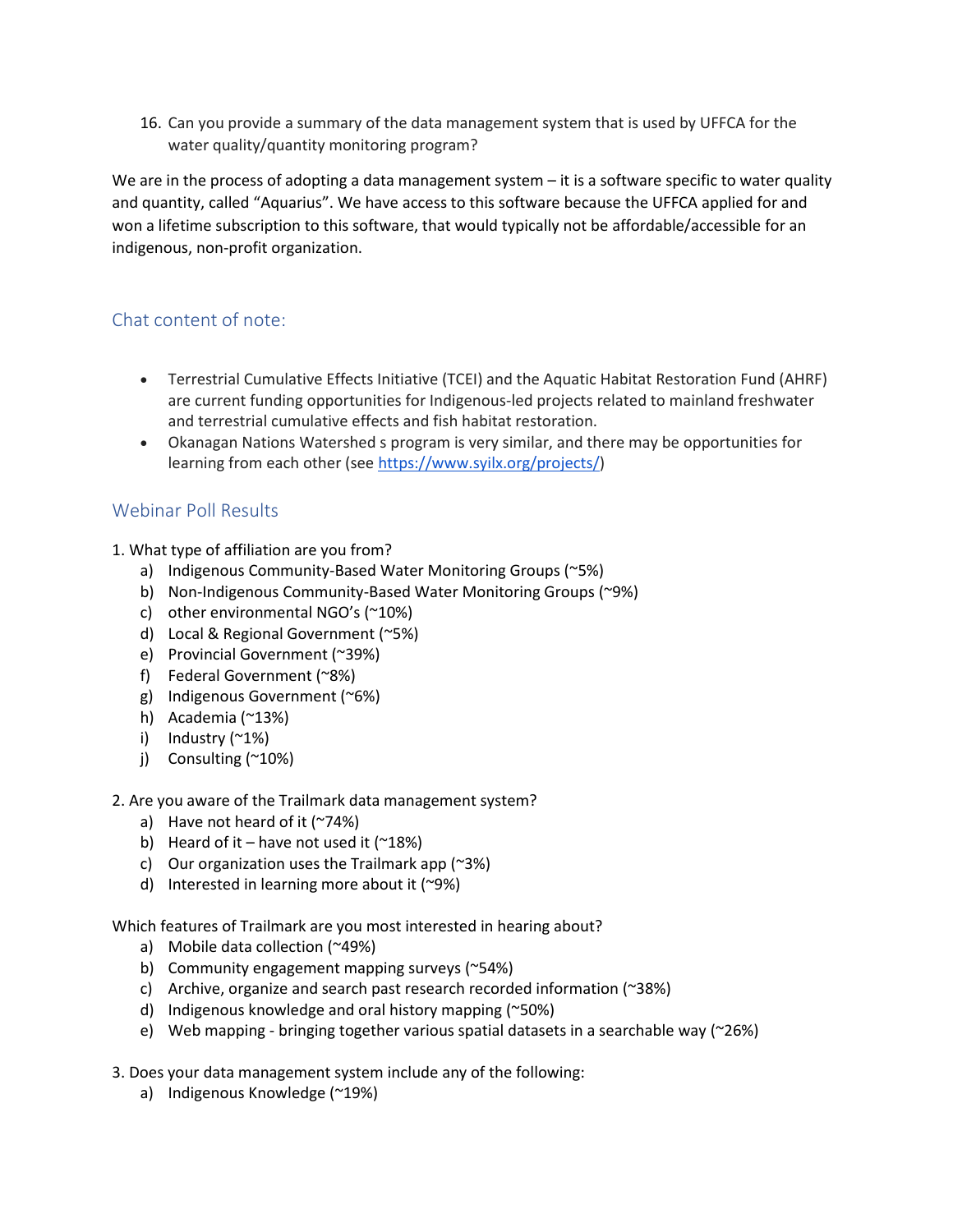16. Can you provide a summary of the data management system that is used by UFFCA for the water quality/quantity monitoring program?

We are in the process of adopting a data management system  $-$  it is a software specific to water quality and quantity, called "Aquarius". We have access to this software because the UFFCA applied for and won a lifetime subscription to this software, that would typically not be affordable/accessible for an indigenous, non-profit organization.

# Chat content of note:

- Terrestrial Cumulative Effects Initiative (TCEI) and the Aquatic Habitat Restoration Fund (AHRF) are current funding opportunities for Indigenous-led projects related to mainland freshwater and terrestrial cumulative effects and fish habitat restoration.
- Okanagan Nations Watershed s program is very similar, and there may be opportunities for learning from each other (see [https://www.syilx.org/projects/\)](https://www.syilx.org/projects/)

# Webinar Poll Results

- 1. What type of affiliation are you from?
	- a) Indigenous Community-Based Water Monitoring Groups (~5%)
	- b) Non-Indigenous Community-Based Water Monitoring Groups (~9%)
	- c) other environmental NGO's (~10%)
	- d) Local & Regional Government (~5%)
	- e) Provincial Government (~39%)
	- f) Federal Government (~8%)
	- g) Indigenous Government (~6%)
	- h) Academia (~13%)
	- i) Industry (~1%)
	- j) Consulting (~10%)

#### 2. Are you aware of the Trailmark data management system?

- a) Have not heard of it (~74%)
- b) Heard of it have not used it  $(^{218\%})$
- c) Our organization uses the Trailmark app (~3%)
- d) Interested in learning more about it (~9%)

Which features of Trailmark are you most interested in hearing about?

- a) Mobile data collection (~49%)
- b) Community engagement mapping surveys (~54%)
- c) Archive, organize and search past research recorded information (~38%)
- d) Indigenous knowledge and oral history mapping (~50%)
- e) Web mapping bringing together various spatial datasets in a searchable way (~26%)
- 3. Does your data management system include any of the following:
	- a) Indigenous Knowledge (~19%)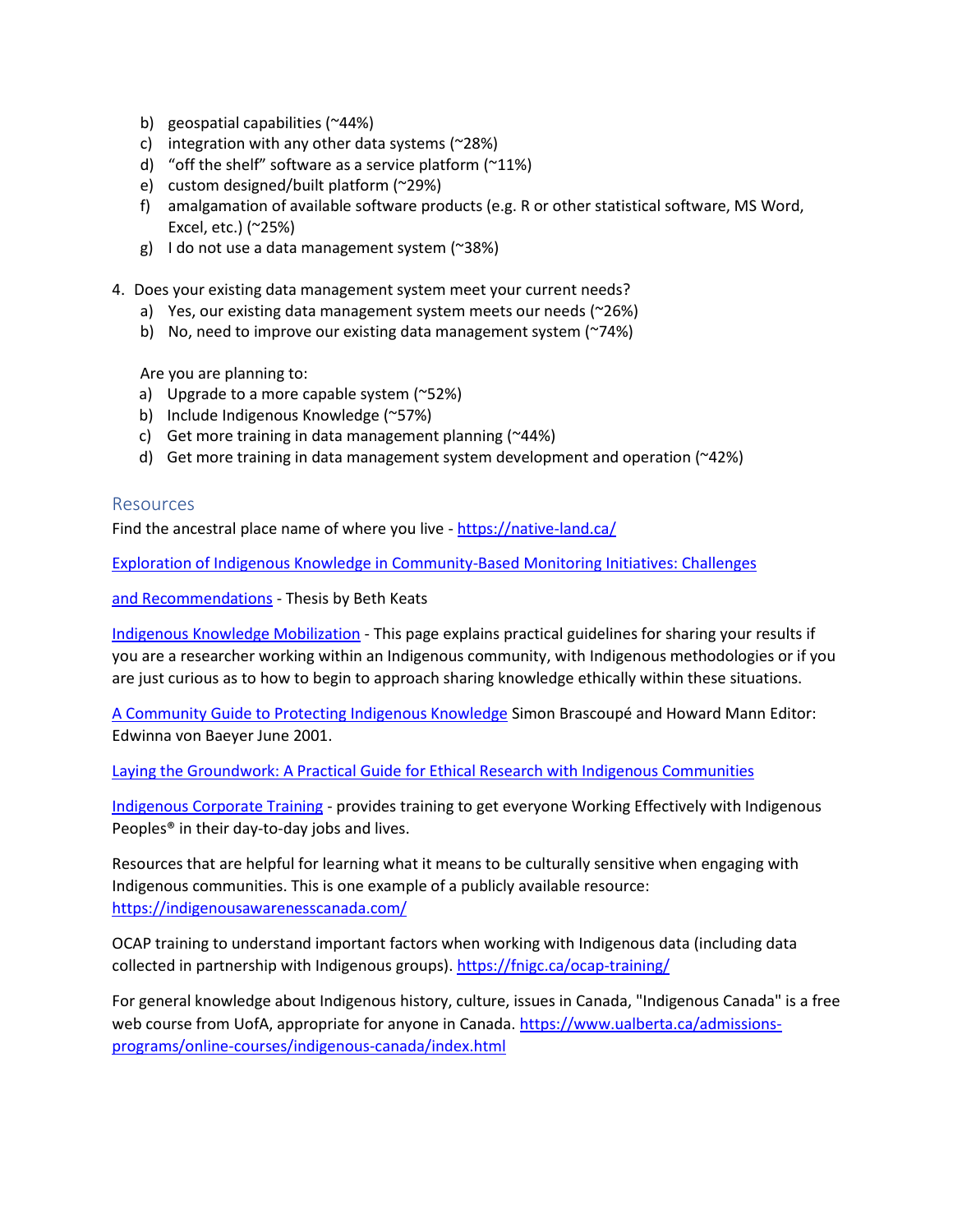- b) geospatial capabilities (~44%)
- c) integration with any other data systems  $(28%)$
- d) "off the shelf" software as a service platform (~11%)
- e) custom designed/built platform (~29%)
- f) amalgamation of available software products (e.g. R or other statistical software, MS Word, Excel, etc.) (~25%)
- g) I do not use a data management system  $($ ~38%)
- 4. Does your existing data management system meet your current needs?
	- a) Yes, our existing data management system meets our needs (~26%)
	- b) No, need to improve our existing data management system (~74%)

Are you are planning to:

- a) Upgrade to a more capable system (~52%)
- b) Include Indigenous Knowledge (~57%)
- c) Get more training in data management planning (~44%)
- d) Get more training in data management system development and operation (~42%)

#### **Resources**

Find the ancestral place name of where you live - <https://native-land.ca/>

[Exploration of Indigenous Knowledge in Community-Based Monitoring Initiatives: Challenges](https://viurrspace.ca/bitstream/handle/10613/23273/Keats_royalroads_1313O_10683.pdf?sequence=1)

[and Recommendations](https://viurrspace.ca/bitstream/handle/10613/23273/Keats_royalroads_1313O_10683.pdf?sequence=1) - Thesis by Beth Keats

[Indigenous Knowledge Mobilization](https://curn.trubox.ca/become/indigenous-knowledge-mobilization/) - This page explains practical guidelines for sharing your results if you are a researcher working within an Indigenous community, with Indigenous methodologies or if you are just curious as to how to begin to approach sharing knowledge ethically within these situations.

[A Community Guide to Protecting Indigenous Knowledge](https://publications.gc.ca/Collection/R2-160-2001E.pdf) Simon Brascoupé and Howard Mann Editor: Edwinna von Baeyer June 2001.

[Laying the Groundwork: A Practical Guide for Ethical Research with Indigenous Communities](https://ojs.lib.uwo.ca/index.php/iipj/article/download/7516/6160/13609)

[Indigenous Corporate Training](https://www.indigenousrelationsacademy.com/) - provides training to get everyone Working Effectively with Indigenous Peoples® in their day-to-day jobs and lives.

Resources that are helpful for learning what it means to be culturally sensitive when engaging with Indigenous communities. This is one example of a publicly available resource: <https://indigenousawarenesscanada.com/>

OCAP training to understand important factors when working with Indigenous data (including data collected in partnership with Indigenous groups)[. https://fnigc.ca/ocap-training/](https://fnigc.ca/ocap-training/)

For general knowledge about Indigenous history, culture, issues in Canada, "Indigenous Canada" is a free web course from UofA, appropriate for anyone in Canada. [https://www.ualberta.ca/admissions](https://www.ualberta.ca/admissions-programs/online-courses/indigenous-canada/index.html)[programs/online-courses/indigenous-canada/index.html](https://www.ualberta.ca/admissions-programs/online-courses/indigenous-canada/index.html)